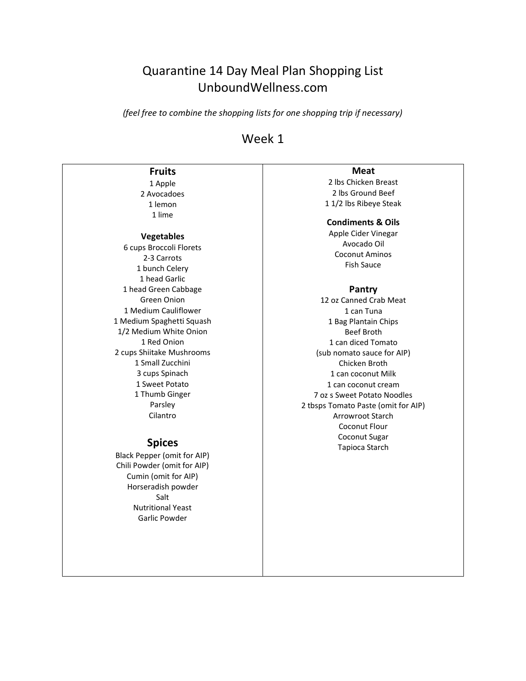# Quarantine 14 Day Meal Plan Shopping List UnboundWellness.com

*(feel free to combine the shopping lists for one shopping trip if necessary)*

# Week 1

## **Fruits**

1 Apple 2 Avocadoes 1 lemon 1 lime

### **Vegetables**

6 cups Broccoli Florets 2-3 Carrots 1 bunch Celery 1 head Garlic 1 head Green Cabbage Green Onion 1 Medium Cauliflower 1 Medium Spaghetti Squash 1/2 Medium White Onion 1 Red Onion 2 cups Shiitake Mushrooms 1 Small Zucchini 3 cups Spinach 1 Sweet Potato 1 Thumb Ginger Parsley Cilantro

### **Spices**

Black Pepper (omit for AIP) Chili Powder (omit for AIP) Cumin (omit for AIP) Horseradish powder Salt Nutritional Yeast Garlic Powder

## **Meat**

2 lbs Chicken Breast 2 lbs Ground Beef 1 1/2 lbs Ribeye Steak

#### **Condiments & Oils**

Apple Cider Vinegar Avocado Oil Coconut Aminos Fish Sauce

### **Pantry**

12 oz Canned Crab Meat 1 can Tuna 1 Bag Plantain Chips Beef Broth 1 can diced Tomato (sub nomato sauce for AIP) Chicken Broth 1 can coconut Milk 1 can coconut cream 7 oz s Sweet Potato Noodles 2 tbsps Tomato Paste (omit for AIP) Arrowroot Starch Coconut Flour Coconut Sugar Tapioca Starch